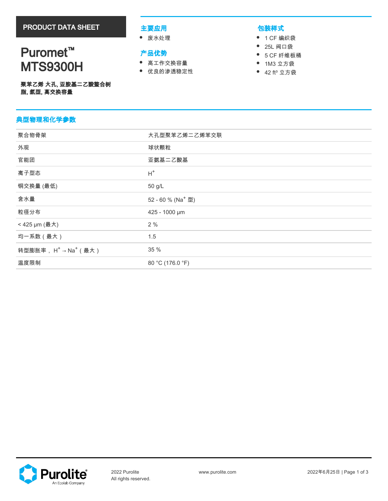# Puromet<sup>™</sup> MTS9300H

## 主要应用

废水处理

# 产品优势

- 高工作交换容量
- 优良的渗透稳定性

# 包装样式

- 1 CF 编织袋
- 25L 阀口袋
- $\bullet$ 5 CF 纤维板桶
- $\bullet$ 1M3 立方袋
- 42 ft<sup>3</sup> 立方袋

|              | 聚苯乙烯 大孔, 亚胺基二乙酸螯合树 |
|--------------|--------------------|
| 脂, 氢型, 高交换容量 |                    |

# 典型物理和化学参数

| 聚合物骨架                      | 大孔型聚苯乙烯二乙烯苯交联                 |
|----------------------------|-------------------------------|
| 外观                         | 球状颗粒                          |
| 官能团                        | 亚氨基二乙酸基                       |
| 离子型态                       | $H^+$                         |
| 铜交换量 (最低)                  | 50 g/L                        |
| 含水量                        | 52 - 60 % (Na <sup>+</sup> 型) |
| 粒径分布                       | 425 - 1000 µm                 |
| < 425 µm (最大)              | 2%                            |
| 均一系数 (最大)                  | 1.5                           |
| 转型膨胀率, $H^+$ → $Na^+$ (最大) | 35 %                          |
| 温度限制                       | 80 °C (176.0 °F)              |
|                            |                               |

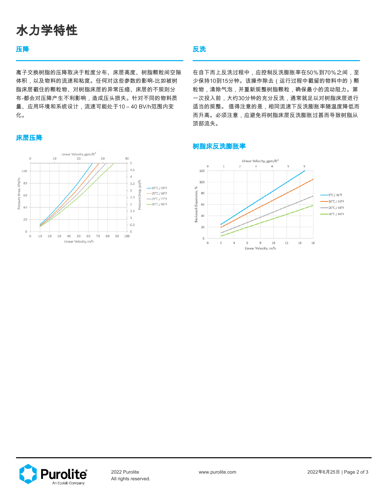# 水力学特性

## 压降

离子交换树脂的压降取决于粒度分布、床层高度、树脂颗粒间空隙 体积,以及物料的流速和粘度。任何对这些参数的影响-比如被树 脂床层截住的颗粒物、对树脂床层的异常压缩、床层的不规则分 布-都会对压降产生不利影响,造成压头损失。针对不同的物料质 量、应用环境和系统设计,流速可能处于10 – 40 BV/h范围内变 化。

### 床层压降



## 反洗

在自下而上反洗过程中,应控制反洗膨胀率在50%到70%之间,至 少保持10到15分钟。该操作除去(运行过程中截留的物料中的)颗 粒物,清除气泡,并重新规整树脂颗粒,确保最小的流动阻力。第 一次投入前,大约30分钟的充分反洗,通常就足以对树脂床层进行 适当的规整。 值得注意的是,相同流速下反洗膨胀率随温度降低而 而升高。必须注意,应避免将树脂床层反洗膨胀过甚而导致树脂从 顶部流失。

### 树脂床反洗膨胀率